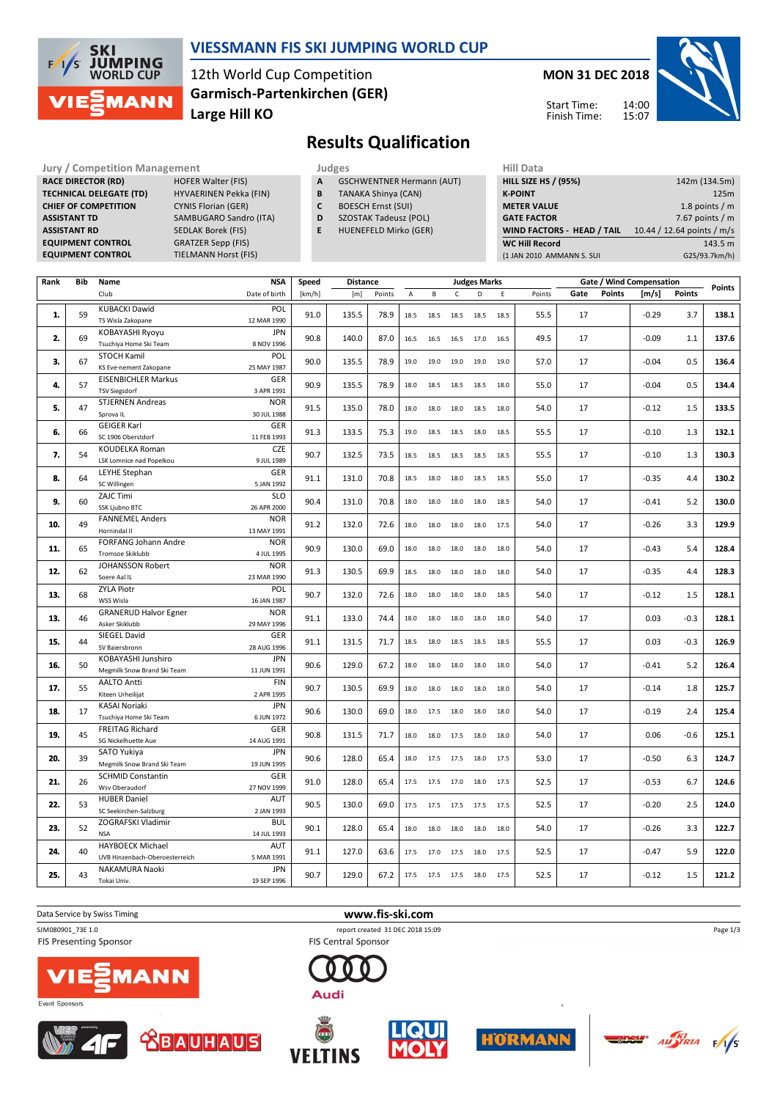

## **VIESSMANN FIS SKI JUMPING WORLD CUP**

12th World Cup Competition **Large Hill KO Garmisch-Partenkirchen (GER)** **MON 31 DEC 2018**

Start Time: Finish Time:



# **Results Qualification**

**Jury / Competition Management Judges Hill Data RACE DIRECTOR (RD) HOFER Walter (FIS) TECHNICAL DELEGATE (TD)** HYVAERINEN Pekka (FIN) **CHIEF OF COMPETITION** CYNIS Florian (GER) **ASSISTANT TD** SAMBUGARO Sandro (ITA) **ASSISTANT RD** SEDLAK Borek (FIS) **EQUIPMENT CONTROL GRATZER Sepp (FIS)**<br>**EQUIPMENT CONTROL** TIELMANN Horst (FI

**TIELMANN Horst (FIS)** 

- **A** GSCHWENTNER Hermann (AUT)
- **B** TANAKA Shinya (CAN)
- **C** BOESCH Ernst (SUI)
- **D** SZOSTAK Tadeusz (POL)
- **E** HUENEFELD Mirko (GER)

| <b>HILL SIZE HS / (95%)</b> | 142m (134.5m)              |
|-----------------------------|----------------------------|
| <b>K-POINT</b>              | 125m                       |
| <b>METER VALUE</b>          | 1.8 points $/m$            |
| <b>GATE FACTOR</b>          | 7.67 points $/m$           |
| WIND FACTORS - HEAD / TAIL  | 10.44 / 12.64 points / m/s |
| <b>WC Hill Record</b>       | 143.5 m                    |
| (1 JAN 2010 AMMANN S. SUI   | G25/93.7km/h)              |

| C<br>Gate<br><b>Points</b><br>[m/s]<br><b>Points</b><br>Club<br>Date of birth<br>[km/h]<br>[m]<br>Points<br>B<br>D<br>E<br>Points<br>$\overline{A}$<br><b>KUBACKI Dawid</b><br>POL<br>135.5<br>$-0.29$<br>3.7<br>138.1<br>1.<br>59<br>91.0<br>78.9<br>55.5<br>17<br>18.5<br>18.5<br>18.5<br>18.5<br>18.5<br>12 MAR 1990<br>TS Wisla Zakopane<br><b>JPN</b><br>KOBAYASHI Ryoyu<br>2.<br>69<br>90.8<br>140.0<br>49.5<br>17<br>$-0.09$<br>137.6<br>87.0<br>1.1<br>16.5<br>16.5 16.5<br>17.0<br>16.5<br>Tsuchiya Home Ski Team<br>8 NOV 1996<br><b>STOCH Kamil</b><br>POL<br>3.<br>90.0<br>135.5<br>$-0.04$<br>0.5<br>136.4<br>67<br>78.9<br>19.0<br>19.0<br>19.0<br>19.0<br>57.0<br>17<br>19.0<br>25 MAY 1987<br>KS Eve-nement Zakopane<br><b>EISENBICHLER Markus</b><br>GER<br>90.9<br>135.5<br>78.9<br>17<br>$-0.04$<br>0.5<br>134.4<br>4.<br>57<br>18.0<br>18.5<br>18.5<br>18.5<br>18.0<br>55.0<br><b>TSV Siegsdorf</b><br>3 APR 1991<br><b>STJERNEN Andreas</b><br><b>NOR</b><br>47<br>5.<br>91.5<br>135.0<br>78.0<br>17<br>$-0.12$<br>1.5<br>133.5<br>18.0<br>18.0<br>18.0<br>18.5<br>18.0<br>54.0<br>Sprova IL<br>30 JUL 1988<br><b>GEIGER Karl</b><br>GER<br>132.1<br>6.<br>91.3<br>133.5<br>75.3<br>55.5<br>17<br>$-0.10$<br>1.3<br>66<br>19.0<br>18.5<br>18.5<br>18.0<br>18.5<br>SC 1906 Oberstdorf<br>11 FEB 1993<br><b>CZE</b><br>KOUDELKA Roman<br>7.<br>90.7<br>132.5<br>130.3<br>54<br>73.5<br>55.5<br>17<br>$-0.10$<br>1.3<br>18.5<br>18.5<br>18.5<br>18.5<br>18.5<br>LSK Lomnice nad Popelkou<br>9 JUL 1989<br>GER<br>LEYHE Stephan<br>130.2<br>8.<br>64<br>91.1<br>131.0<br>70.8<br>18.5<br>18.0<br>55.0<br>17<br>$-0.35$<br>4.4<br>18.0<br>18.5<br>18.5<br>SC Willingen<br>5 JAN 1992<br><b>ZAJC Timi</b><br><b>SLO</b><br>9.<br>60<br>90.4<br>131.0<br>70.8<br>18.5<br>54.0<br>17<br>$-0.41$<br>5.2<br>130.0<br>18.0<br>18.0<br>18.0<br>18.0<br>SSK Ljubno BTC<br>26 APR 2000<br><b>FANNEMEL Anders</b><br><b>NOR</b><br>129.9<br>10.<br>49<br>132.0<br>17<br>3.3<br>91.2<br>72.6<br>54.0<br>$-0.26$<br>18.0<br>18.0<br>18.0<br>18.0<br>17.5<br>Hornindal II<br>13 MAY 1991<br>FORFANG Johann Andre<br><b>NOR</b><br>11.<br>90.9<br>130.0<br>69.0<br>17<br>$-0.43$<br>5.4<br>128.4<br>65<br>18.0<br>18.0<br>18.0<br>18.0<br>18.0<br>54.0<br>Tromsoe Skiklubb<br>4 JUL 1995<br>JOHANSSON Robert<br><b>NOR</b><br>12.<br>62<br>91.3<br>130.5<br>69.9<br>54.0<br>17<br>$-0.35$<br>4.4<br>128.3<br>18.5<br>18.0<br>18.0<br>18.0<br>18.0<br>23 MAR 1990<br>Soere Aal IL<br><b>ZYLA Piotr</b><br>POL<br>128.1<br>13.<br>68<br>90.7<br>132.0<br>72.6<br>54.0<br>17<br>$-0.12$<br>1.5<br>18.0<br>18.0<br>18.0<br>18.0<br>18.5<br>WSS Wisla<br>16 JAN 1987<br><b>GRANERUD Halvor Egner</b><br><b>NOR</b><br>13.<br>133.0<br>0.03<br>$-0.3$<br>128.1<br>46<br>91.1<br>74.4<br>54.0<br>17<br>18.0<br>18.0<br>18.0<br>18.0<br>18.0<br>Asker Skiklubb<br>29 MAY 1996<br>SIEGEL David<br>GER<br>15.<br>131.5<br>55.5<br>17<br>0.03<br>$-0.3$<br>126.9<br>44<br>91.1<br>71.7<br>18.5<br>18.0<br>18.5<br>18.5<br>18.5<br>28 AUG 1996<br>SV Baiersbronn<br>KOBAYASHI Junshiro<br><b>JPN</b><br>129.0<br>5.2<br>126.4<br>16.<br>50<br>90.6<br>67.2<br>18.0<br>18.0<br>18.0<br>54.0<br>17<br>$-0.41$<br>18.0<br>18.0<br>11 JUN 1991<br>Megmilk Snow Brand Ski Team<br><b>AALTO Antti</b><br><b>FIN</b><br>17.<br>55<br>90.7<br>130.5<br>69.9<br>54.0<br>17<br>$-0.14$<br>1.8<br>125.7<br>18.0<br>18.0<br>18.0<br>18.0<br>18.0<br>Kiteen Urheilijat<br>2 APR 1995<br><b>JPN</b><br><b>KASAI Noriaki</b><br>2.4<br>125.4<br>18.<br>17<br>90.6<br>130.0<br>69.0<br>17<br>$-0.19$<br>54.0<br>18.0<br>17.5<br>18.0<br>18.0<br>18.0<br>6 JUN 1972<br>Tsuchiya Home Ski Team<br>GER<br>FREITAG Richard<br>19.<br>45<br>90.8<br>131.5<br>71.7<br>54.0<br>17<br>0.06<br>$-0.6$<br>125.1<br>18.0<br>18.0<br>17.5<br>18.0<br>18.0<br>SG Nickelhuette Aue<br>14 AUG 1991<br>SATO Yukiya<br><b>JPN</b><br>20.<br>90.6<br>128.0<br>$-0.50$<br>6.3<br>124.7<br>39<br>65.4<br>53.0<br>17<br>18.0<br>17.5<br>17.5<br>18.0<br>17.5<br>19 JUN 1995<br>Megmilk Snow Brand Ski Team<br><b>SCHMID Constantin</b><br>GER<br>6.7<br>21.<br>26<br>128.0<br>17<br>$-0.53$<br>124.6<br>91.0<br>65.4<br>52.5<br>17.5<br>17.5 17.0<br>18.0<br>17.5<br>Wsv Oberaudorf<br>27 NOV 1999<br><b>HUBER Daniel</b><br>AUT<br>22.<br>90.5<br>130.0<br>17<br>$-0.20$<br>2.5<br>124.0<br>53<br>69.0<br>17.5<br>17.5 17.5<br>52.5<br>17.5<br>17.5<br>SC Seekirchen-Salzburg<br>2 JAN 1993<br>ZOGRAFSKI Vladimir<br><b>BUL</b><br>23.<br>90.1<br>17<br>3.3<br>122.7<br>52<br>128.0<br>65.4<br>54.0<br>$-0.26$<br>18.0<br>18.0<br>18.0<br>18.0<br>18.0<br><b>NSA</b><br>14 JUL 1993<br><b>HAYBOECK Michael</b><br><b>AUT</b><br>40<br>127.0<br>17<br>$-0.47$<br>5.9<br>122.0<br>24.<br>91.1<br>63.6<br>52.5<br>17.5<br>17.0<br>17.5<br>18.0<br>17.5<br>UVB Hinzenbach-Oberoesterreich<br>5 MAR 1991<br><b>JPN</b><br>NAKAMURA Naoki<br>25.<br>43<br>90.7<br>129.0<br>67.2<br>52.5<br>17<br>$-0.12$<br>1.5<br>121.2<br>17.5<br>17.5 17.5<br>18.0<br>17.5<br>Tokai Univ.<br>19 SEP 1996 | Rank | Bib | Name | <b>NSA</b> | Speed | <b>Distance</b> |  |  | <b>Judges Marks</b> |  |  | Gate / Wind Compensation | <b>Points</b> |
|-----------------------------------------------------------------------------------------------------------------------------------------------------------------------------------------------------------------------------------------------------------------------------------------------------------------------------------------------------------------------------------------------------------------------------------------------------------------------------------------------------------------------------------------------------------------------------------------------------------------------------------------------------------------------------------------------------------------------------------------------------------------------------------------------------------------------------------------------------------------------------------------------------------------------------------------------------------------------------------------------------------------------------------------------------------------------------------------------------------------------------------------------------------------------------------------------------------------------------------------------------------------------------------------------------------------------------------------------------------------------------------------------------------------------------------------------------------------------------------------------------------------------------------------------------------------------------------------------------------------------------------------------------------------------------------------------------------------------------------------------------------------------------------------------------------------------------------------------------------------------------------------------------------------------------------------------------------------------------------------------------------------------------------------------------------------------------------------------------------------------------------------------------------------------------------------------------------------------------------------------------------------------------------------------------------------------------------------------------------------------------------------------------------------------------------------------------------------------------------------------------------------------------------------------------------------------------------------------------------------------------------------------------------------------------------------------------------------------------------------------------------------------------------------------------------------------------------------------------------------------------------------------------------------------------------------------------------------------------------------------------------------------------------------------------------------------------------------------------------------------------------------------------------------------------------------------------------------------------------------------------------------------------------------------------------------------------------------------------------------------------------------------------------------------------------------------------------------------------------------------------------------------------------------------------------------------------------------------------------------------------------------------------------------------------------------------------------------------------------------------------------------------------------------------------------------------------------------------------------------------------------------------------------------------------------------------------------------------------------------------------------------------------------------------------------------------------------------------------------------------------------------------------------------------------------------------------------------------------------------------------------------------------------------------------------------------------------------------------------------------------------------------------------------------------------------------------------------------------------------------------------------------------------------------------------------------------------------------------------------------------------------------------------------------------------------------------------------------------------------------------------------------------------------------------------------------------------------------------------------------------------------------------------------------------------------------------------------------------------------------------------------------------------------|------|-----|------|------------|-------|-----------------|--|--|---------------------|--|--|--------------------------|---------------|
|                                                                                                                                                                                                                                                                                                                                                                                                                                                                                                                                                                                                                                                                                                                                                                                                                                                                                                                                                                                                                                                                                                                                                                                                                                                                                                                                                                                                                                                                                                                                                                                                                                                                                                                                                                                                                                                                                                                                                                                                                                                                                                                                                                                                                                                                                                                                                                                                                                                                                                                                                                                                                                                                                                                                                                                                                                                                                                                                                                                                                                                                                                                                                                                                                                                                                                                                                                                                                                                                                                                                                                                                                                                                                                                                                                                                                                                                                                                                                                                                                                                                                                                                                                                                                                                                                                                                                                                                                                                                                                                                                                                                                                                                                                                                                                                                                                                                                                                                                                                                                                         |      |     |      |            |       |                 |  |  |                     |  |  |                          |               |
|                                                                                                                                                                                                                                                                                                                                                                                                                                                                                                                                                                                                                                                                                                                                                                                                                                                                                                                                                                                                                                                                                                                                                                                                                                                                                                                                                                                                                                                                                                                                                                                                                                                                                                                                                                                                                                                                                                                                                                                                                                                                                                                                                                                                                                                                                                                                                                                                                                                                                                                                                                                                                                                                                                                                                                                                                                                                                                                                                                                                                                                                                                                                                                                                                                                                                                                                                                                                                                                                                                                                                                                                                                                                                                                                                                                                                                                                                                                                                                                                                                                                                                                                                                                                                                                                                                                                                                                                                                                                                                                                                                                                                                                                                                                                                                                                                                                                                                                                                                                                                                         |      |     |      |            |       |                 |  |  |                     |  |  |                          |               |
|                                                                                                                                                                                                                                                                                                                                                                                                                                                                                                                                                                                                                                                                                                                                                                                                                                                                                                                                                                                                                                                                                                                                                                                                                                                                                                                                                                                                                                                                                                                                                                                                                                                                                                                                                                                                                                                                                                                                                                                                                                                                                                                                                                                                                                                                                                                                                                                                                                                                                                                                                                                                                                                                                                                                                                                                                                                                                                                                                                                                                                                                                                                                                                                                                                                                                                                                                                                                                                                                                                                                                                                                                                                                                                                                                                                                                                                                                                                                                                                                                                                                                                                                                                                                                                                                                                                                                                                                                                                                                                                                                                                                                                                                                                                                                                                                                                                                                                                                                                                                                                         |      |     |      |            |       |                 |  |  |                     |  |  |                          |               |
|                                                                                                                                                                                                                                                                                                                                                                                                                                                                                                                                                                                                                                                                                                                                                                                                                                                                                                                                                                                                                                                                                                                                                                                                                                                                                                                                                                                                                                                                                                                                                                                                                                                                                                                                                                                                                                                                                                                                                                                                                                                                                                                                                                                                                                                                                                                                                                                                                                                                                                                                                                                                                                                                                                                                                                                                                                                                                                                                                                                                                                                                                                                                                                                                                                                                                                                                                                                                                                                                                                                                                                                                                                                                                                                                                                                                                                                                                                                                                                                                                                                                                                                                                                                                                                                                                                                                                                                                                                                                                                                                                                                                                                                                                                                                                                                                                                                                                                                                                                                                                                         |      |     |      |            |       |                 |  |  |                     |  |  |                          |               |
|                                                                                                                                                                                                                                                                                                                                                                                                                                                                                                                                                                                                                                                                                                                                                                                                                                                                                                                                                                                                                                                                                                                                                                                                                                                                                                                                                                                                                                                                                                                                                                                                                                                                                                                                                                                                                                                                                                                                                                                                                                                                                                                                                                                                                                                                                                                                                                                                                                                                                                                                                                                                                                                                                                                                                                                                                                                                                                                                                                                                                                                                                                                                                                                                                                                                                                                                                                                                                                                                                                                                                                                                                                                                                                                                                                                                                                                                                                                                                                                                                                                                                                                                                                                                                                                                                                                                                                                                                                                                                                                                                                                                                                                                                                                                                                                                                                                                                                                                                                                                                                         |      |     |      |            |       |                 |  |  |                     |  |  |                          |               |
|                                                                                                                                                                                                                                                                                                                                                                                                                                                                                                                                                                                                                                                                                                                                                                                                                                                                                                                                                                                                                                                                                                                                                                                                                                                                                                                                                                                                                                                                                                                                                                                                                                                                                                                                                                                                                                                                                                                                                                                                                                                                                                                                                                                                                                                                                                                                                                                                                                                                                                                                                                                                                                                                                                                                                                                                                                                                                                                                                                                                                                                                                                                                                                                                                                                                                                                                                                                                                                                                                                                                                                                                                                                                                                                                                                                                                                                                                                                                                                                                                                                                                                                                                                                                                                                                                                                                                                                                                                                                                                                                                                                                                                                                                                                                                                                                                                                                                                                                                                                                                                         |      |     |      |            |       |                 |  |  |                     |  |  |                          |               |
|                                                                                                                                                                                                                                                                                                                                                                                                                                                                                                                                                                                                                                                                                                                                                                                                                                                                                                                                                                                                                                                                                                                                                                                                                                                                                                                                                                                                                                                                                                                                                                                                                                                                                                                                                                                                                                                                                                                                                                                                                                                                                                                                                                                                                                                                                                                                                                                                                                                                                                                                                                                                                                                                                                                                                                                                                                                                                                                                                                                                                                                                                                                                                                                                                                                                                                                                                                                                                                                                                                                                                                                                                                                                                                                                                                                                                                                                                                                                                                                                                                                                                                                                                                                                                                                                                                                                                                                                                                                                                                                                                                                                                                                                                                                                                                                                                                                                                                                                                                                                                                         |      |     |      |            |       |                 |  |  |                     |  |  |                          |               |
|                                                                                                                                                                                                                                                                                                                                                                                                                                                                                                                                                                                                                                                                                                                                                                                                                                                                                                                                                                                                                                                                                                                                                                                                                                                                                                                                                                                                                                                                                                                                                                                                                                                                                                                                                                                                                                                                                                                                                                                                                                                                                                                                                                                                                                                                                                                                                                                                                                                                                                                                                                                                                                                                                                                                                                                                                                                                                                                                                                                                                                                                                                                                                                                                                                                                                                                                                                                                                                                                                                                                                                                                                                                                                                                                                                                                                                                                                                                                                                                                                                                                                                                                                                                                                                                                                                                                                                                                                                                                                                                                                                                                                                                                                                                                                                                                                                                                                                                                                                                                                                         |      |     |      |            |       |                 |  |  |                     |  |  |                          |               |
|                                                                                                                                                                                                                                                                                                                                                                                                                                                                                                                                                                                                                                                                                                                                                                                                                                                                                                                                                                                                                                                                                                                                                                                                                                                                                                                                                                                                                                                                                                                                                                                                                                                                                                                                                                                                                                                                                                                                                                                                                                                                                                                                                                                                                                                                                                                                                                                                                                                                                                                                                                                                                                                                                                                                                                                                                                                                                                                                                                                                                                                                                                                                                                                                                                                                                                                                                                                                                                                                                                                                                                                                                                                                                                                                                                                                                                                                                                                                                                                                                                                                                                                                                                                                                                                                                                                                                                                                                                                                                                                                                                                                                                                                                                                                                                                                                                                                                                                                                                                                                                         |      |     |      |            |       |                 |  |  |                     |  |  |                          |               |
|                                                                                                                                                                                                                                                                                                                                                                                                                                                                                                                                                                                                                                                                                                                                                                                                                                                                                                                                                                                                                                                                                                                                                                                                                                                                                                                                                                                                                                                                                                                                                                                                                                                                                                                                                                                                                                                                                                                                                                                                                                                                                                                                                                                                                                                                                                                                                                                                                                                                                                                                                                                                                                                                                                                                                                                                                                                                                                                                                                                                                                                                                                                                                                                                                                                                                                                                                                                                                                                                                                                                                                                                                                                                                                                                                                                                                                                                                                                                                                                                                                                                                                                                                                                                                                                                                                                                                                                                                                                                                                                                                                                                                                                                                                                                                                                                                                                                                                                                                                                                                                         |      |     |      |            |       |                 |  |  |                     |  |  |                          |               |
|                                                                                                                                                                                                                                                                                                                                                                                                                                                                                                                                                                                                                                                                                                                                                                                                                                                                                                                                                                                                                                                                                                                                                                                                                                                                                                                                                                                                                                                                                                                                                                                                                                                                                                                                                                                                                                                                                                                                                                                                                                                                                                                                                                                                                                                                                                                                                                                                                                                                                                                                                                                                                                                                                                                                                                                                                                                                                                                                                                                                                                                                                                                                                                                                                                                                                                                                                                                                                                                                                                                                                                                                                                                                                                                                                                                                                                                                                                                                                                                                                                                                                                                                                                                                                                                                                                                                                                                                                                                                                                                                                                                                                                                                                                                                                                                                                                                                                                                                                                                                                                         |      |     |      |            |       |                 |  |  |                     |  |  |                          |               |
|                                                                                                                                                                                                                                                                                                                                                                                                                                                                                                                                                                                                                                                                                                                                                                                                                                                                                                                                                                                                                                                                                                                                                                                                                                                                                                                                                                                                                                                                                                                                                                                                                                                                                                                                                                                                                                                                                                                                                                                                                                                                                                                                                                                                                                                                                                                                                                                                                                                                                                                                                                                                                                                                                                                                                                                                                                                                                                                                                                                                                                                                                                                                                                                                                                                                                                                                                                                                                                                                                                                                                                                                                                                                                                                                                                                                                                                                                                                                                                                                                                                                                                                                                                                                                                                                                                                                                                                                                                                                                                                                                                                                                                                                                                                                                                                                                                                                                                                                                                                                                                         |      |     |      |            |       |                 |  |  |                     |  |  |                          |               |
|                                                                                                                                                                                                                                                                                                                                                                                                                                                                                                                                                                                                                                                                                                                                                                                                                                                                                                                                                                                                                                                                                                                                                                                                                                                                                                                                                                                                                                                                                                                                                                                                                                                                                                                                                                                                                                                                                                                                                                                                                                                                                                                                                                                                                                                                                                                                                                                                                                                                                                                                                                                                                                                                                                                                                                                                                                                                                                                                                                                                                                                                                                                                                                                                                                                                                                                                                                                                                                                                                                                                                                                                                                                                                                                                                                                                                                                                                                                                                                                                                                                                                                                                                                                                                                                                                                                                                                                                                                                                                                                                                                                                                                                                                                                                                                                                                                                                                                                                                                                                                                         |      |     |      |            |       |                 |  |  |                     |  |  |                          |               |
|                                                                                                                                                                                                                                                                                                                                                                                                                                                                                                                                                                                                                                                                                                                                                                                                                                                                                                                                                                                                                                                                                                                                                                                                                                                                                                                                                                                                                                                                                                                                                                                                                                                                                                                                                                                                                                                                                                                                                                                                                                                                                                                                                                                                                                                                                                                                                                                                                                                                                                                                                                                                                                                                                                                                                                                                                                                                                                                                                                                                                                                                                                                                                                                                                                                                                                                                                                                                                                                                                                                                                                                                                                                                                                                                                                                                                                                                                                                                                                                                                                                                                                                                                                                                                                                                                                                                                                                                                                                                                                                                                                                                                                                                                                                                                                                                                                                                                                                                                                                                                                         |      |     |      |            |       |                 |  |  |                     |  |  |                          |               |
|                                                                                                                                                                                                                                                                                                                                                                                                                                                                                                                                                                                                                                                                                                                                                                                                                                                                                                                                                                                                                                                                                                                                                                                                                                                                                                                                                                                                                                                                                                                                                                                                                                                                                                                                                                                                                                                                                                                                                                                                                                                                                                                                                                                                                                                                                                                                                                                                                                                                                                                                                                                                                                                                                                                                                                                                                                                                                                                                                                                                                                                                                                                                                                                                                                                                                                                                                                                                                                                                                                                                                                                                                                                                                                                                                                                                                                                                                                                                                                                                                                                                                                                                                                                                                                                                                                                                                                                                                                                                                                                                                                                                                                                                                                                                                                                                                                                                                                                                                                                                                                         |      |     |      |            |       |                 |  |  |                     |  |  |                          |               |
|                                                                                                                                                                                                                                                                                                                                                                                                                                                                                                                                                                                                                                                                                                                                                                                                                                                                                                                                                                                                                                                                                                                                                                                                                                                                                                                                                                                                                                                                                                                                                                                                                                                                                                                                                                                                                                                                                                                                                                                                                                                                                                                                                                                                                                                                                                                                                                                                                                                                                                                                                                                                                                                                                                                                                                                                                                                                                                                                                                                                                                                                                                                                                                                                                                                                                                                                                                                                                                                                                                                                                                                                                                                                                                                                                                                                                                                                                                                                                                                                                                                                                                                                                                                                                                                                                                                                                                                                                                                                                                                                                                                                                                                                                                                                                                                                                                                                                                                                                                                                                                         |      |     |      |            |       |                 |  |  |                     |  |  |                          |               |
|                                                                                                                                                                                                                                                                                                                                                                                                                                                                                                                                                                                                                                                                                                                                                                                                                                                                                                                                                                                                                                                                                                                                                                                                                                                                                                                                                                                                                                                                                                                                                                                                                                                                                                                                                                                                                                                                                                                                                                                                                                                                                                                                                                                                                                                                                                                                                                                                                                                                                                                                                                                                                                                                                                                                                                                                                                                                                                                                                                                                                                                                                                                                                                                                                                                                                                                                                                                                                                                                                                                                                                                                                                                                                                                                                                                                                                                                                                                                                                                                                                                                                                                                                                                                                                                                                                                                                                                                                                                                                                                                                                                                                                                                                                                                                                                                                                                                                                                                                                                                                                         |      |     |      |            |       |                 |  |  |                     |  |  |                          |               |
|                                                                                                                                                                                                                                                                                                                                                                                                                                                                                                                                                                                                                                                                                                                                                                                                                                                                                                                                                                                                                                                                                                                                                                                                                                                                                                                                                                                                                                                                                                                                                                                                                                                                                                                                                                                                                                                                                                                                                                                                                                                                                                                                                                                                                                                                                                                                                                                                                                                                                                                                                                                                                                                                                                                                                                                                                                                                                                                                                                                                                                                                                                                                                                                                                                                                                                                                                                                                                                                                                                                                                                                                                                                                                                                                                                                                                                                                                                                                                                                                                                                                                                                                                                                                                                                                                                                                                                                                                                                                                                                                                                                                                                                                                                                                                                                                                                                                                                                                                                                                                                         |      |     |      |            |       |                 |  |  |                     |  |  |                          |               |
|                                                                                                                                                                                                                                                                                                                                                                                                                                                                                                                                                                                                                                                                                                                                                                                                                                                                                                                                                                                                                                                                                                                                                                                                                                                                                                                                                                                                                                                                                                                                                                                                                                                                                                                                                                                                                                                                                                                                                                                                                                                                                                                                                                                                                                                                                                                                                                                                                                                                                                                                                                                                                                                                                                                                                                                                                                                                                                                                                                                                                                                                                                                                                                                                                                                                                                                                                                                                                                                                                                                                                                                                                                                                                                                                                                                                                                                                                                                                                                                                                                                                                                                                                                                                                                                                                                                                                                                                                                                                                                                                                                                                                                                                                                                                                                                                                                                                                                                                                                                                                                         |      |     |      |            |       |                 |  |  |                     |  |  |                          |               |
|                                                                                                                                                                                                                                                                                                                                                                                                                                                                                                                                                                                                                                                                                                                                                                                                                                                                                                                                                                                                                                                                                                                                                                                                                                                                                                                                                                                                                                                                                                                                                                                                                                                                                                                                                                                                                                                                                                                                                                                                                                                                                                                                                                                                                                                                                                                                                                                                                                                                                                                                                                                                                                                                                                                                                                                                                                                                                                                                                                                                                                                                                                                                                                                                                                                                                                                                                                                                                                                                                                                                                                                                                                                                                                                                                                                                                                                                                                                                                                                                                                                                                                                                                                                                                                                                                                                                                                                                                                                                                                                                                                                                                                                                                                                                                                                                                                                                                                                                                                                                                                         |      |     |      |            |       |                 |  |  |                     |  |  |                          |               |
|                                                                                                                                                                                                                                                                                                                                                                                                                                                                                                                                                                                                                                                                                                                                                                                                                                                                                                                                                                                                                                                                                                                                                                                                                                                                                                                                                                                                                                                                                                                                                                                                                                                                                                                                                                                                                                                                                                                                                                                                                                                                                                                                                                                                                                                                                                                                                                                                                                                                                                                                                                                                                                                                                                                                                                                                                                                                                                                                                                                                                                                                                                                                                                                                                                                                                                                                                                                                                                                                                                                                                                                                                                                                                                                                                                                                                                                                                                                                                                                                                                                                                                                                                                                                                                                                                                                                                                                                                                                                                                                                                                                                                                                                                                                                                                                                                                                                                                                                                                                                                                         |      |     |      |            |       |                 |  |  |                     |  |  |                          |               |
|                                                                                                                                                                                                                                                                                                                                                                                                                                                                                                                                                                                                                                                                                                                                                                                                                                                                                                                                                                                                                                                                                                                                                                                                                                                                                                                                                                                                                                                                                                                                                                                                                                                                                                                                                                                                                                                                                                                                                                                                                                                                                                                                                                                                                                                                                                                                                                                                                                                                                                                                                                                                                                                                                                                                                                                                                                                                                                                                                                                                                                                                                                                                                                                                                                                                                                                                                                                                                                                                                                                                                                                                                                                                                                                                                                                                                                                                                                                                                                                                                                                                                                                                                                                                                                                                                                                                                                                                                                                                                                                                                                                                                                                                                                                                                                                                                                                                                                                                                                                                                                         |      |     |      |            |       |                 |  |  |                     |  |  |                          |               |
|                                                                                                                                                                                                                                                                                                                                                                                                                                                                                                                                                                                                                                                                                                                                                                                                                                                                                                                                                                                                                                                                                                                                                                                                                                                                                                                                                                                                                                                                                                                                                                                                                                                                                                                                                                                                                                                                                                                                                                                                                                                                                                                                                                                                                                                                                                                                                                                                                                                                                                                                                                                                                                                                                                                                                                                                                                                                                                                                                                                                                                                                                                                                                                                                                                                                                                                                                                                                                                                                                                                                                                                                                                                                                                                                                                                                                                                                                                                                                                                                                                                                                                                                                                                                                                                                                                                                                                                                                                                                                                                                                                                                                                                                                                                                                                                                                                                                                                                                                                                                                                         |      |     |      |            |       |                 |  |  |                     |  |  |                          |               |
|                                                                                                                                                                                                                                                                                                                                                                                                                                                                                                                                                                                                                                                                                                                                                                                                                                                                                                                                                                                                                                                                                                                                                                                                                                                                                                                                                                                                                                                                                                                                                                                                                                                                                                                                                                                                                                                                                                                                                                                                                                                                                                                                                                                                                                                                                                                                                                                                                                                                                                                                                                                                                                                                                                                                                                                                                                                                                                                                                                                                                                                                                                                                                                                                                                                                                                                                                                                                                                                                                                                                                                                                                                                                                                                                                                                                                                                                                                                                                                                                                                                                                                                                                                                                                                                                                                                                                                                                                                                                                                                                                                                                                                                                                                                                                                                                                                                                                                                                                                                                                                         |      |     |      |            |       |                 |  |  |                     |  |  |                          |               |
|                                                                                                                                                                                                                                                                                                                                                                                                                                                                                                                                                                                                                                                                                                                                                                                                                                                                                                                                                                                                                                                                                                                                                                                                                                                                                                                                                                                                                                                                                                                                                                                                                                                                                                                                                                                                                                                                                                                                                                                                                                                                                                                                                                                                                                                                                                                                                                                                                                                                                                                                                                                                                                                                                                                                                                                                                                                                                                                                                                                                                                                                                                                                                                                                                                                                                                                                                                                                                                                                                                                                                                                                                                                                                                                                                                                                                                                                                                                                                                                                                                                                                                                                                                                                                                                                                                                                                                                                                                                                                                                                                                                                                                                                                                                                                                                                                                                                                                                                                                                                                                         |      |     |      |            |       |                 |  |  |                     |  |  |                          |               |
|                                                                                                                                                                                                                                                                                                                                                                                                                                                                                                                                                                                                                                                                                                                                                                                                                                                                                                                                                                                                                                                                                                                                                                                                                                                                                                                                                                                                                                                                                                                                                                                                                                                                                                                                                                                                                                                                                                                                                                                                                                                                                                                                                                                                                                                                                                                                                                                                                                                                                                                                                                                                                                                                                                                                                                                                                                                                                                                                                                                                                                                                                                                                                                                                                                                                                                                                                                                                                                                                                                                                                                                                                                                                                                                                                                                                                                                                                                                                                                                                                                                                                                                                                                                                                                                                                                                                                                                                                                                                                                                                                                                                                                                                                                                                                                                                                                                                                                                                                                                                                                         |      |     |      |            |       |                 |  |  |                     |  |  |                          |               |
|                                                                                                                                                                                                                                                                                                                                                                                                                                                                                                                                                                                                                                                                                                                                                                                                                                                                                                                                                                                                                                                                                                                                                                                                                                                                                                                                                                                                                                                                                                                                                                                                                                                                                                                                                                                                                                                                                                                                                                                                                                                                                                                                                                                                                                                                                                                                                                                                                                                                                                                                                                                                                                                                                                                                                                                                                                                                                                                                                                                                                                                                                                                                                                                                                                                                                                                                                                                                                                                                                                                                                                                                                                                                                                                                                                                                                                                                                                                                                                                                                                                                                                                                                                                                                                                                                                                                                                                                                                                                                                                                                                                                                                                                                                                                                                                                                                                                                                                                                                                                                                         |      |     |      |            |       |                 |  |  |                     |  |  |                          |               |
|                                                                                                                                                                                                                                                                                                                                                                                                                                                                                                                                                                                                                                                                                                                                                                                                                                                                                                                                                                                                                                                                                                                                                                                                                                                                                                                                                                                                                                                                                                                                                                                                                                                                                                                                                                                                                                                                                                                                                                                                                                                                                                                                                                                                                                                                                                                                                                                                                                                                                                                                                                                                                                                                                                                                                                                                                                                                                                                                                                                                                                                                                                                                                                                                                                                                                                                                                                                                                                                                                                                                                                                                                                                                                                                                                                                                                                                                                                                                                                                                                                                                                                                                                                                                                                                                                                                                                                                                                                                                                                                                                                                                                                                                                                                                                                                                                                                                                                                                                                                                                                         |      |     |      |            |       |                 |  |  |                     |  |  |                          |               |
|                                                                                                                                                                                                                                                                                                                                                                                                                                                                                                                                                                                                                                                                                                                                                                                                                                                                                                                                                                                                                                                                                                                                                                                                                                                                                                                                                                                                                                                                                                                                                                                                                                                                                                                                                                                                                                                                                                                                                                                                                                                                                                                                                                                                                                                                                                                                                                                                                                                                                                                                                                                                                                                                                                                                                                                                                                                                                                                                                                                                                                                                                                                                                                                                                                                                                                                                                                                                                                                                                                                                                                                                                                                                                                                                                                                                                                                                                                                                                                                                                                                                                                                                                                                                                                                                                                                                                                                                                                                                                                                                                                                                                                                                                                                                                                                                                                                                                                                                                                                                                                         |      |     |      |            |       |                 |  |  |                     |  |  |                          |               |
|                                                                                                                                                                                                                                                                                                                                                                                                                                                                                                                                                                                                                                                                                                                                                                                                                                                                                                                                                                                                                                                                                                                                                                                                                                                                                                                                                                                                                                                                                                                                                                                                                                                                                                                                                                                                                                                                                                                                                                                                                                                                                                                                                                                                                                                                                                                                                                                                                                                                                                                                                                                                                                                                                                                                                                                                                                                                                                                                                                                                                                                                                                                                                                                                                                                                                                                                                                                                                                                                                                                                                                                                                                                                                                                                                                                                                                                                                                                                                                                                                                                                                                                                                                                                                                                                                                                                                                                                                                                                                                                                                                                                                                                                                                                                                                                                                                                                                                                                                                                                                                         |      |     |      |            |       |                 |  |  |                     |  |  |                          |               |
|                                                                                                                                                                                                                                                                                                                                                                                                                                                                                                                                                                                                                                                                                                                                                                                                                                                                                                                                                                                                                                                                                                                                                                                                                                                                                                                                                                                                                                                                                                                                                                                                                                                                                                                                                                                                                                                                                                                                                                                                                                                                                                                                                                                                                                                                                                                                                                                                                                                                                                                                                                                                                                                                                                                                                                                                                                                                                                                                                                                                                                                                                                                                                                                                                                                                                                                                                                                                                                                                                                                                                                                                                                                                                                                                                                                                                                                                                                                                                                                                                                                                                                                                                                                                                                                                                                                                                                                                                                                                                                                                                                                                                                                                                                                                                                                                                                                                                                                                                                                                                                         |      |     |      |            |       |                 |  |  |                     |  |  |                          |               |
|                                                                                                                                                                                                                                                                                                                                                                                                                                                                                                                                                                                                                                                                                                                                                                                                                                                                                                                                                                                                                                                                                                                                                                                                                                                                                                                                                                                                                                                                                                                                                                                                                                                                                                                                                                                                                                                                                                                                                                                                                                                                                                                                                                                                                                                                                                                                                                                                                                                                                                                                                                                                                                                                                                                                                                                                                                                                                                                                                                                                                                                                                                                                                                                                                                                                                                                                                                                                                                                                                                                                                                                                                                                                                                                                                                                                                                                                                                                                                                                                                                                                                                                                                                                                                                                                                                                                                                                                                                                                                                                                                                                                                                                                                                                                                                                                                                                                                                                                                                                                                                         |      |     |      |            |       |                 |  |  |                     |  |  |                          |               |
|                                                                                                                                                                                                                                                                                                                                                                                                                                                                                                                                                                                                                                                                                                                                                                                                                                                                                                                                                                                                                                                                                                                                                                                                                                                                                                                                                                                                                                                                                                                                                                                                                                                                                                                                                                                                                                                                                                                                                                                                                                                                                                                                                                                                                                                                                                                                                                                                                                                                                                                                                                                                                                                                                                                                                                                                                                                                                                                                                                                                                                                                                                                                                                                                                                                                                                                                                                                                                                                                                                                                                                                                                                                                                                                                                                                                                                                                                                                                                                                                                                                                                                                                                                                                                                                                                                                                                                                                                                                                                                                                                                                                                                                                                                                                                                                                                                                                                                                                                                                                                                         |      |     |      |            |       |                 |  |  |                     |  |  |                          |               |
|                                                                                                                                                                                                                                                                                                                                                                                                                                                                                                                                                                                                                                                                                                                                                                                                                                                                                                                                                                                                                                                                                                                                                                                                                                                                                                                                                                                                                                                                                                                                                                                                                                                                                                                                                                                                                                                                                                                                                                                                                                                                                                                                                                                                                                                                                                                                                                                                                                                                                                                                                                                                                                                                                                                                                                                                                                                                                                                                                                                                                                                                                                                                                                                                                                                                                                                                                                                                                                                                                                                                                                                                                                                                                                                                                                                                                                                                                                                                                                                                                                                                                                                                                                                                                                                                                                                                                                                                                                                                                                                                                                                                                                                                                                                                                                                                                                                                                                                                                                                                                                         |      |     |      |            |       |                 |  |  |                     |  |  |                          |               |
|                                                                                                                                                                                                                                                                                                                                                                                                                                                                                                                                                                                                                                                                                                                                                                                                                                                                                                                                                                                                                                                                                                                                                                                                                                                                                                                                                                                                                                                                                                                                                                                                                                                                                                                                                                                                                                                                                                                                                                                                                                                                                                                                                                                                                                                                                                                                                                                                                                                                                                                                                                                                                                                                                                                                                                                                                                                                                                                                                                                                                                                                                                                                                                                                                                                                                                                                                                                                                                                                                                                                                                                                                                                                                                                                                                                                                                                                                                                                                                                                                                                                                                                                                                                                                                                                                                                                                                                                                                                                                                                                                                                                                                                                                                                                                                                                                                                                                                                                                                                                                                         |      |     |      |            |       |                 |  |  |                     |  |  |                          |               |
|                                                                                                                                                                                                                                                                                                                                                                                                                                                                                                                                                                                                                                                                                                                                                                                                                                                                                                                                                                                                                                                                                                                                                                                                                                                                                                                                                                                                                                                                                                                                                                                                                                                                                                                                                                                                                                                                                                                                                                                                                                                                                                                                                                                                                                                                                                                                                                                                                                                                                                                                                                                                                                                                                                                                                                                                                                                                                                                                                                                                                                                                                                                                                                                                                                                                                                                                                                                                                                                                                                                                                                                                                                                                                                                                                                                                                                                                                                                                                                                                                                                                                                                                                                                                                                                                                                                                                                                                                                                                                                                                                                                                                                                                                                                                                                                                                                                                                                                                                                                                                                         |      |     |      |            |       |                 |  |  |                     |  |  |                          |               |
|                                                                                                                                                                                                                                                                                                                                                                                                                                                                                                                                                                                                                                                                                                                                                                                                                                                                                                                                                                                                                                                                                                                                                                                                                                                                                                                                                                                                                                                                                                                                                                                                                                                                                                                                                                                                                                                                                                                                                                                                                                                                                                                                                                                                                                                                                                                                                                                                                                                                                                                                                                                                                                                                                                                                                                                                                                                                                                                                                                                                                                                                                                                                                                                                                                                                                                                                                                                                                                                                                                                                                                                                                                                                                                                                                                                                                                                                                                                                                                                                                                                                                                                                                                                                                                                                                                                                                                                                                                                                                                                                                                                                                                                                                                                                                                                                                                                                                                                                                                                                                                         |      |     |      |            |       |                 |  |  |                     |  |  |                          |               |
|                                                                                                                                                                                                                                                                                                                                                                                                                                                                                                                                                                                                                                                                                                                                                                                                                                                                                                                                                                                                                                                                                                                                                                                                                                                                                                                                                                                                                                                                                                                                                                                                                                                                                                                                                                                                                                                                                                                                                                                                                                                                                                                                                                                                                                                                                                                                                                                                                                                                                                                                                                                                                                                                                                                                                                                                                                                                                                                                                                                                                                                                                                                                                                                                                                                                                                                                                                                                                                                                                                                                                                                                                                                                                                                                                                                                                                                                                                                                                                                                                                                                                                                                                                                                                                                                                                                                                                                                                                                                                                                                                                                                                                                                                                                                                                                                                                                                                                                                                                                                                                         |      |     |      |            |       |                 |  |  |                     |  |  |                          |               |
|                                                                                                                                                                                                                                                                                                                                                                                                                                                                                                                                                                                                                                                                                                                                                                                                                                                                                                                                                                                                                                                                                                                                                                                                                                                                                                                                                                                                                                                                                                                                                                                                                                                                                                                                                                                                                                                                                                                                                                                                                                                                                                                                                                                                                                                                                                                                                                                                                                                                                                                                                                                                                                                                                                                                                                                                                                                                                                                                                                                                                                                                                                                                                                                                                                                                                                                                                                                                                                                                                                                                                                                                                                                                                                                                                                                                                                                                                                                                                                                                                                                                                                                                                                                                                                                                                                                                                                                                                                                                                                                                                                                                                                                                                                                                                                                                                                                                                                                                                                                                                                         |      |     |      |            |       |                 |  |  |                     |  |  |                          |               |
|                                                                                                                                                                                                                                                                                                                                                                                                                                                                                                                                                                                                                                                                                                                                                                                                                                                                                                                                                                                                                                                                                                                                                                                                                                                                                                                                                                                                                                                                                                                                                                                                                                                                                                                                                                                                                                                                                                                                                                                                                                                                                                                                                                                                                                                                                                                                                                                                                                                                                                                                                                                                                                                                                                                                                                                                                                                                                                                                                                                                                                                                                                                                                                                                                                                                                                                                                                                                                                                                                                                                                                                                                                                                                                                                                                                                                                                                                                                                                                                                                                                                                                                                                                                                                                                                                                                                                                                                                                                                                                                                                                                                                                                                                                                                                                                                                                                                                                                                                                                                                                         |      |     |      |            |       |                 |  |  |                     |  |  |                          |               |
|                                                                                                                                                                                                                                                                                                                                                                                                                                                                                                                                                                                                                                                                                                                                                                                                                                                                                                                                                                                                                                                                                                                                                                                                                                                                                                                                                                                                                                                                                                                                                                                                                                                                                                                                                                                                                                                                                                                                                                                                                                                                                                                                                                                                                                                                                                                                                                                                                                                                                                                                                                                                                                                                                                                                                                                                                                                                                                                                                                                                                                                                                                                                                                                                                                                                                                                                                                                                                                                                                                                                                                                                                                                                                                                                                                                                                                                                                                                                                                                                                                                                                                                                                                                                                                                                                                                                                                                                                                                                                                                                                                                                                                                                                                                                                                                                                                                                                                                                                                                                                                         |      |     |      |            |       |                 |  |  |                     |  |  |                          |               |
|                                                                                                                                                                                                                                                                                                                                                                                                                                                                                                                                                                                                                                                                                                                                                                                                                                                                                                                                                                                                                                                                                                                                                                                                                                                                                                                                                                                                                                                                                                                                                                                                                                                                                                                                                                                                                                                                                                                                                                                                                                                                                                                                                                                                                                                                                                                                                                                                                                                                                                                                                                                                                                                                                                                                                                                                                                                                                                                                                                                                                                                                                                                                                                                                                                                                                                                                                                                                                                                                                                                                                                                                                                                                                                                                                                                                                                                                                                                                                                                                                                                                                                                                                                                                                                                                                                                                                                                                                                                                                                                                                                                                                                                                                                                                                                                                                                                                                                                                                                                                                                         |      |     |      |            |       |                 |  |  |                     |  |  |                          |               |
|                                                                                                                                                                                                                                                                                                                                                                                                                                                                                                                                                                                                                                                                                                                                                                                                                                                                                                                                                                                                                                                                                                                                                                                                                                                                                                                                                                                                                                                                                                                                                                                                                                                                                                                                                                                                                                                                                                                                                                                                                                                                                                                                                                                                                                                                                                                                                                                                                                                                                                                                                                                                                                                                                                                                                                                                                                                                                                                                                                                                                                                                                                                                                                                                                                                                                                                                                                                                                                                                                                                                                                                                                                                                                                                                                                                                                                                                                                                                                                                                                                                                                                                                                                                                                                                                                                                                                                                                                                                                                                                                                                                                                                                                                                                                                                                                                                                                                                                                                                                                                                         |      |     |      |            |       |                 |  |  |                     |  |  |                          |               |
|                                                                                                                                                                                                                                                                                                                                                                                                                                                                                                                                                                                                                                                                                                                                                                                                                                                                                                                                                                                                                                                                                                                                                                                                                                                                                                                                                                                                                                                                                                                                                                                                                                                                                                                                                                                                                                                                                                                                                                                                                                                                                                                                                                                                                                                                                                                                                                                                                                                                                                                                                                                                                                                                                                                                                                                                                                                                                                                                                                                                                                                                                                                                                                                                                                                                                                                                                                                                                                                                                                                                                                                                                                                                                                                                                                                                                                                                                                                                                                                                                                                                                                                                                                                                                                                                                                                                                                                                                                                                                                                                                                                                                                                                                                                                                                                                                                                                                                                                                                                                                                         |      |     |      |            |       |                 |  |  |                     |  |  |                          |               |
|                                                                                                                                                                                                                                                                                                                                                                                                                                                                                                                                                                                                                                                                                                                                                                                                                                                                                                                                                                                                                                                                                                                                                                                                                                                                                                                                                                                                                                                                                                                                                                                                                                                                                                                                                                                                                                                                                                                                                                                                                                                                                                                                                                                                                                                                                                                                                                                                                                                                                                                                                                                                                                                                                                                                                                                                                                                                                                                                                                                                                                                                                                                                                                                                                                                                                                                                                                                                                                                                                                                                                                                                                                                                                                                                                                                                                                                                                                                                                                                                                                                                                                                                                                                                                                                                                                                                                                                                                                                                                                                                                                                                                                                                                                                                                                                                                                                                                                                                                                                                                                         |      |     |      |            |       |                 |  |  |                     |  |  |                          |               |
|                                                                                                                                                                                                                                                                                                                                                                                                                                                                                                                                                                                                                                                                                                                                                                                                                                                                                                                                                                                                                                                                                                                                                                                                                                                                                                                                                                                                                                                                                                                                                                                                                                                                                                                                                                                                                                                                                                                                                                                                                                                                                                                                                                                                                                                                                                                                                                                                                                                                                                                                                                                                                                                                                                                                                                                                                                                                                                                                                                                                                                                                                                                                                                                                                                                                                                                                                                                                                                                                                                                                                                                                                                                                                                                                                                                                                                                                                                                                                                                                                                                                                                                                                                                                                                                                                                                                                                                                                                                                                                                                                                                                                                                                                                                                                                                                                                                                                                                                                                                                                                         |      |     |      |            |       |                 |  |  |                     |  |  |                          |               |
|                                                                                                                                                                                                                                                                                                                                                                                                                                                                                                                                                                                                                                                                                                                                                                                                                                                                                                                                                                                                                                                                                                                                                                                                                                                                                                                                                                                                                                                                                                                                                                                                                                                                                                                                                                                                                                                                                                                                                                                                                                                                                                                                                                                                                                                                                                                                                                                                                                                                                                                                                                                                                                                                                                                                                                                                                                                                                                                                                                                                                                                                                                                                                                                                                                                                                                                                                                                                                                                                                                                                                                                                                                                                                                                                                                                                                                                                                                                                                                                                                                                                                                                                                                                                                                                                                                                                                                                                                                                                                                                                                                                                                                                                                                                                                                                                                                                                                                                                                                                                                                         |      |     |      |            |       |                 |  |  |                     |  |  |                          |               |
|                                                                                                                                                                                                                                                                                                                                                                                                                                                                                                                                                                                                                                                                                                                                                                                                                                                                                                                                                                                                                                                                                                                                                                                                                                                                                                                                                                                                                                                                                                                                                                                                                                                                                                                                                                                                                                                                                                                                                                                                                                                                                                                                                                                                                                                                                                                                                                                                                                                                                                                                                                                                                                                                                                                                                                                                                                                                                                                                                                                                                                                                                                                                                                                                                                                                                                                                                                                                                                                                                                                                                                                                                                                                                                                                                                                                                                                                                                                                                                                                                                                                                                                                                                                                                                                                                                                                                                                                                                                                                                                                                                                                                                                                                                                                                                                                                                                                                                                                                                                                                                         |      |     |      |            |       |                 |  |  |                     |  |  |                          |               |

Data Service by Swiss Timing **www.fis-ski.com** 

SJM080901\_73E 1.0 report created 31 DEC 2018 15:09

FIS Presenting Sponsor











FIS Central Sponsor

Audi





Page 1/3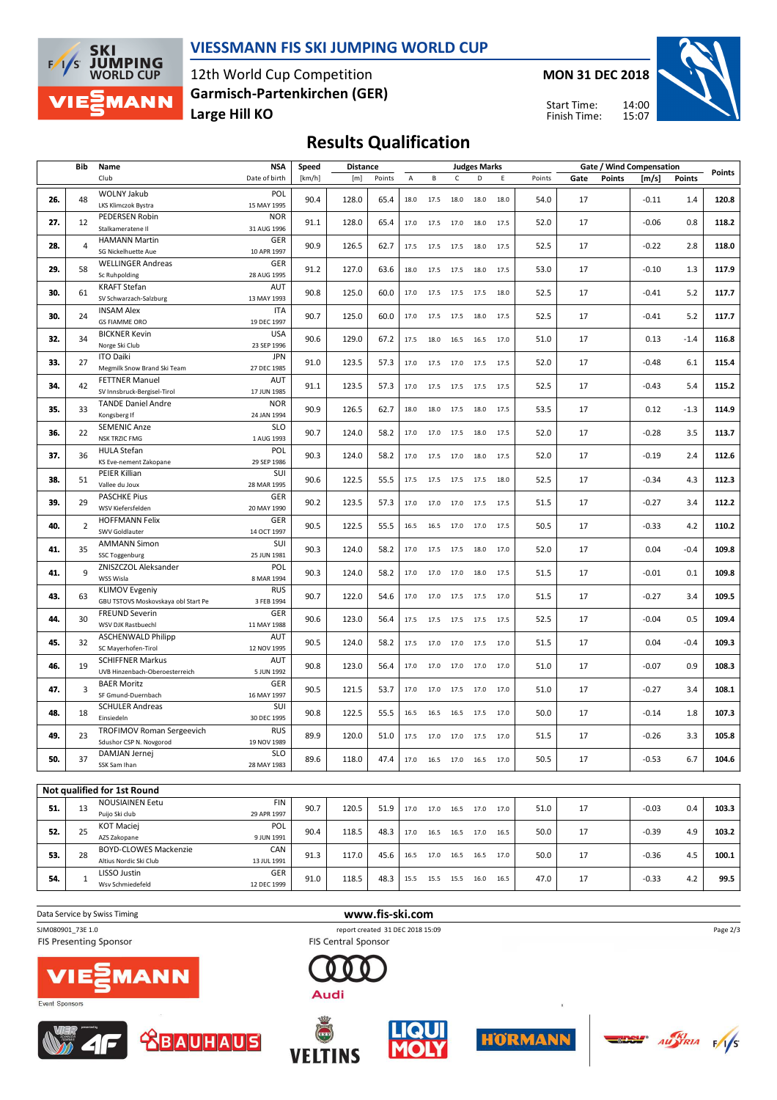

#### **VIESSMANN FIS SKI JUMPING WORLD CUP**

12th World Cup Competition **Large Hill KO Garmisch-Partenkirchen (GER)** **MON 31 DEC 2018**





## **Results Qualification**

|     | Bib            | Name                                                 | <b>NSA</b>                | Speed  | <b>Distance</b> |        |      |                   |      | <b>Judges Marks</b> |      |        |      |               | Gate / Wind Compensation |                | <b>Points</b> |
|-----|----------------|------------------------------------------------------|---------------------------|--------|-----------------|--------|------|-------------------|------|---------------------|------|--------|------|---------------|--------------------------|----------------|---------------|
|     |                | Club                                                 | Date of birth             | [km/h] | [m]             | Points | Α    | В                 | C    | D                   | E    | Points | Gate | <b>Points</b> | [m/s]                    | <b>Points</b>  |               |
| 26. | 48             | <b>WOLNY Jakub</b>                                   | POL                       | 90.4   | 128.0           | 65.4   | 18.0 | 17.5              | 18.0 | 18.0                | 18.0 | 54.0   | 17   |               | $-0.11$                  | 1.4            | 120.8         |
|     |                | LKS Klimczok Bystra                                  | 15 MAY 1995               |        |                 |        |      |                   |      |                     |      |        |      |               |                          |                |               |
| 27. | 12             | PEDERSEN Robin                                       | <b>NOR</b>                | 91.1   | 128.0           | 65.4   | 17.0 | 17.5              | 17.0 | 18.0                | 17.5 | 52.0   | 17   |               | $-0.06$                  | 0.8            | 118.2         |
|     |                | Stalkameratene II                                    | 31 AUG 1996               |        |                 |        |      |                   |      |                     |      |        |      |               |                          |                |               |
| 28. | $\overline{4}$ | <b>HAMANN Martin</b><br>SG Nickelhuette Aue          | GER<br>10 APR 1997        | 90.9   | 126.5           | 62.7   | 17.5 | 17.5              | 17.5 | 18.0                | 17.5 | 52.5   | 17   |               | $-0.22$                  | 2.8            | 118.0         |
|     |                | <b>WELLINGER Andreas</b>                             | GER                       |        |                 |        |      |                   |      |                     |      |        |      |               |                          |                |               |
| 29. | 58             | Sc Ruhpolding                                        | 28 AUG 1995               | 91.2   | 127.0           | 63.6   | 18.0 | 17.5              | 17.5 | 18.0                | 17.5 | 53.0   | 17   |               | $-0.10$                  | 1.3            | 117.9         |
|     |                | <b>KRAFT Stefan</b>                                  | <b>AUT</b>                |        |                 |        |      |                   |      |                     |      |        |      |               |                          |                |               |
| 30. | 61             | SV Schwarzach-Salzburg                               | 13 MAY 1993               | 90.8   | 125.0           | 60.0   | 17.0 | 17.5              | 17.5 | 17.5                | 18.0 | 52.5   | 17   |               | $-0.41$                  | 5.2            | 117.7         |
|     |                | <b>INSAM Alex</b>                                    | <b>ITA</b>                |        |                 |        |      |                   |      |                     |      |        |      |               |                          |                |               |
| 30. | 24             | <b>GS FIAMME ORO</b>                                 | 19 DEC 1997               | 90.7   | 125.0           | 60.0   | 17.0 | 17.5              | 17.5 | 18.0                | 17.5 | 52.5   | 17   |               | $-0.41$                  | 5.2            | 117.7         |
| 32. | 34             | <b>BICKNER Kevin</b>                                 | <b>USA</b>                | 90.6   | 129.0           | 67.2   | 17.5 | 18.0              | 16.5 | 16.5                | 17.0 | 51.0   | 17   |               | 0.13                     | $-1.4$         | 116.8         |
|     |                | Norge Ski Club                                       | 23 SEP 1996               |        |                 |        |      |                   |      |                     |      |        |      |               |                          |                |               |
| 33. | 27             | <b>ITO Daiki</b>                                     | <b>JPN</b>                | 91.0   | 123.5           | 57.3   | 17.0 | 17.5              | 17.0 | 17.5                | 17.5 | 52.0   | 17   |               | $-0.48$                  | 6.1            | 115.4         |
|     |                | Megmilk Snow Brand Ski Team                          | 27 DEC 1985               |        |                 |        |      |                   |      |                     |      |        |      |               |                          |                |               |
| 34. | 42             | <b>FETTNER Manuel</b><br>SV Innsbruck-Bergisel-Tirol | AUT<br>17 JUN 1985        | 91.1   | 123.5           | 57.3   | 17.0 | 17.5              | 17.5 | 17.5                | 17.5 | 52.5   | 17   |               | $-0.43$                  | 5.4            | 115.2         |
|     |                | <b>TANDE Daniel Andre</b>                            | <b>NOR</b>                |        |                 |        |      |                   |      |                     |      |        |      |               |                          |                |               |
| 35. | 33             | Kongsberg If                                         | 24 JAN 1994               | 90.9   | 126.5           | 62.7   | 18.0 | 18.0              | 17.5 | 18.0                | 17.5 | 53.5   | 17   |               | 0.12                     | $-1.3$         | 114.9         |
|     |                | <b>SEMENIC Anze</b>                                  | <b>SLO</b>                |        |                 |        |      |                   |      |                     |      |        |      |               |                          |                |               |
| 36. | 22             | <b>NSK TRZIC FMG</b>                                 | 1 AUG 1993                | 90.7   | 124.0           | 58.2   | 17.0 | 17.0 17.5         |      | 18.0                | 17.5 | 52.0   | 17   |               | $-0.28$                  | 3.5            | 113.7         |
| 37. | 36             | <b>HULA Stefan</b>                                   | POL                       | 90.3   | 124.0           | 58.2   | 17.0 | 17.5              | 17.0 | 18.0                | 17.5 | 52.0   | 17   |               | $-0.19$                  | 2.4            | 112.6         |
|     |                | KS Eve-nement Zakopane                               | 29 SEP 1986               |        |                 |        |      |                   |      |                     |      |        |      |               |                          |                |               |
| 38. | 51             | PEIER Killian                                        | SUI                       | 90.6   | 122.5           | 55.5   | 17.5 | 17.5              | 17.5 | 17.5                | 18.0 | 52.5   | 17   |               | $-0.34$                  | 4.3            | 112.3         |
|     |                | Vallee du Joux                                       | 28 MAR 1995               |        |                 |        |      |                   |      |                     |      |        |      |               |                          |                |               |
| 39. | 29             | <b>PASCHKE Pius</b>                                  | GER                       | 90.2   | 123.5           | 57.3   | 17.0 | 17.0              | 17.0 | 17.5                | 17.5 | 51.5   | 17   |               | $-0.27$                  | 3.4            | 112.2         |
|     |                | WSV Kiefersfelden<br><b>HOFFMANN Felix</b>           | 20 MAY 1990<br>GER        |        |                 |        |      |                   |      |                     |      |        |      |               |                          |                |               |
| 40. | $\overline{2}$ | SWV Goldlauter                                       | 14 OCT 1997               | 90.5   | 122.5           | 55.5   | 16.5 | 16.5              | 17.0 | 17.0                | 17.5 | 50.5   | 17   |               | $-0.33$                  | 4.2            | 110.2         |
|     |                | <b>AMMANN Simon</b>                                  | SUI                       |        |                 |        |      |                   |      |                     |      |        |      |               |                          |                |               |
| 41. | 35             | SSC Toggenburg                                       | 25 JUN 1981               | 90.3   | 124.0           | 58.2   | 17.0 | 17.5              | 17.5 | 18.0                | 17.0 | 52.0   | 17   |               | 0.04                     | $-0.4$         | 109.8         |
| 41. | 9              | ZNISZCZOL Aleksander                                 | POL                       | 90.3   | 124.0           | 58.2   | 17.0 | 17.0              | 17.0 | 18.0                | 17.5 | 51.5   | 17   |               | $-0.01$                  | 0.1            | 109.8         |
|     |                | WSS Wisla                                            | 8 MAR 1994                |        |                 |        |      |                   |      |                     |      |        |      |               |                          |                |               |
| 43. | 63             | <b>KLIMOV Evgeniy</b>                                | <b>RUS</b>                | 90.7   | 122.0           | 54.6   | 17.0 | 17.0              | 17.5 | 17.5                | 17.0 | 51.5   | 17   |               | $-0.27$                  | 3.4            | 109.5         |
|     |                | GBU TSTOVS Moskovskaya obl Start Pe                  | 3 FEB 1994                |        |                 |        |      |                   |      |                     |      |        |      |               |                          |                |               |
| 44. | 30             | <b>FREUND Severin</b>                                | GER                       | 90.6   | 123.0           | 56.4   | 17.5 | 17.5              | 17.5 | 17.5                | 17.5 | 52.5   | 17   |               | $-0.04$                  | 0.5            | 109.4         |
|     |                | WSV DJK Rastbuechl<br><b>ASCHENWALD Philipp</b>      | 11 MAY 1988<br><b>AUT</b> |        |                 |        |      |                   |      |                     |      |        |      |               |                          |                |               |
| 45. | 32             | SC Mayerhofen-Tirol                                  | 12 NOV 1995               | 90.5   | 124.0           | 58.2   | 17.5 | 17.0              | 17.0 | 17.5                | 17.0 | 51.5   | 17   |               | 0.04                     | $-0.4$         | 109.3         |
|     |                | <b>SCHIFFNER Markus</b>                              | <b>AUT</b>                |        |                 |        |      |                   |      |                     |      |        |      |               |                          |                |               |
| 46. | 19             | UVB Hinzenbach-Oberoesterreich                       | 5 JUN 1992                | 90.8   | 123.0           | 56.4   | 17.0 | 17.0              | 17.0 | 17.0                | 17.0 | 51.0   | 17   |               | $-0.07$                  | 0.9            | 108.3         |
| 47. | 3              | <b>BAER Moritz</b>                                   | GER                       | 90.5   | 121.5           | 53.7   | 17.0 | 17.0              | 17.5 | 17.0                | 17.0 | 51.0   | 17   |               | $-0.27$                  | 3.4            | 108.1         |
|     |                | SF Gmund-Duernbach                                   | 16 MAY 1997               |        |                 |        |      |                   |      |                     |      |        |      |               |                          |                |               |
| 48. | 18             | <b>SCHULER Andreas</b>                               | SUI                       | 90.8   | 122.5           | 55.5   | 16.5 | 16.5              | 16.5 | 17.5                | 17.0 | 50.0   | 17   |               | $-0.14$                  | 1.8            | 107.3         |
|     |                | Einsiedeln                                           | 30 DEC 1995               |        |                 |        |      |                   |      |                     |      |        |      |               |                          |                |               |
| 49. | 23             | TROFIMOV Roman Sergeevich                            | <b>RUS</b>                | 89.9   | 120.0           | 51.0   | 17.5 | 17.0              | 17.0 | 17.5                | 17.0 | 51.5   | 17   |               | $-0.26$                  | 3.3            | 105.8         |
|     |                | Sdushor CSP N. Novgorod<br>DAMJAN Jernej             | 19 NOV 1989<br><b>SLO</b> |        |                 |        |      |                   |      |                     |      |        |      |               |                          |                |               |
| 50. | 37             | SSK Sam Ihan                                         | 28 MAY 1983               | 89.6   | 118.0           | 47.4   | 17.0 | 16.5              | 17.0 | 16.5                | 17.0 | 50.5   | 17   |               | $-0.53$                  | 6.7            | 104.6         |
|     |                |                                                      |                           |        |                 |        |      |                   |      |                     |      |        |      |               |                          |                |               |
|     |                | Not qualified for 1st Round                          |                           |        |                 |        |      |                   |      |                     |      |        |      |               |                          |                |               |
|     |                | <b>NOUSIAINEN Eetu</b>                               | <b>FIN</b>                |        | 1205            | 51.9   |      |                   |      |                     |      |        |      |               |                          |                |               |
| E1  |                |                                                      |                           | 907    |                 |        |      | $170$ $170$ $165$ |      | 170                 | 170  | 510    | 17   |               | sn n.                    | 0 <sub>A</sub> | 103.3         |

| 51. | 42 | <b>NOUSIAINEN Eetu</b>       | <b>FIN</b>  | 90.7 | 120.5 | 51.9 | 17.0 | 17.0 | 16.5 | 17.0 | 17.0 | 51.0 | 17 | $-0.03$ | 0.4 | 103.3 |
|-----|----|------------------------------|-------------|------|-------|------|------|------|------|------|------|------|----|---------|-----|-------|
|     |    | Puijo Ski club               | 29 APR 1997 |      |       |      |      |      |      |      |      |      |    |         |     |       |
| 52. | 25 | <b>KOT Maciej</b>            | <b>POL</b>  | 90.4 | 118.5 | 48.3 | 17.0 | 16.5 | 16.5 | 17.0 | 16.5 | 50.0 | 17 | $-0.39$ | 4.9 | 103.2 |
|     |    | AZS Zakopane                 | 9 JUN 1991  |      |       |      |      |      |      |      |      |      |    |         |     |       |
| 53. | 28 | <b>BOYD-CLOWES Mackenzie</b> | CAN         | 91.3 | 117.0 | 45.6 | 16.5 | 17.0 | 16.5 | 16.5 | 17.0 | 50.0 | 17 | $-0.36$ | 4.5 | 100.1 |
|     |    | Altius Nordic Ski Club       | 13 JUL 1991 |      |       |      |      |      |      |      |      |      |    |         |     |       |
| 54. |    | LISSO Justin                 | <b>GER</b>  | 91.0 | 118.5 |      | 15.5 | 15.5 | 15.5 | 16.0 | 16.5 | 47.0 | 17 | $-0.33$ | 4.2 | 99.5  |
|     |    | Wsv Schmiedefeld             | 12 DEC 1999 |      |       | 48.3 |      |      |      |      |      |      |    |         |     |       |

**Data Service by Swiss Timing WWW.fis-ski.com** 

SJM080901\_73E 1.0 report created 31 DEC 2018 15:09<br>FIS Presenting Sponsor **report created 31 DEC 2018 15:09 FIS Presenting Sponsor** 











Audi







 $\frac{1}{\sqrt{5}}$ 

Page 2/3